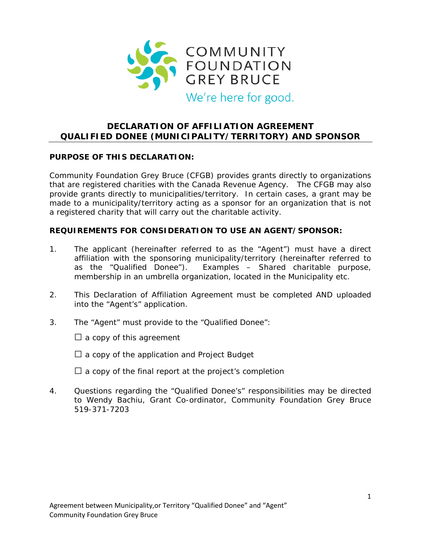

# **DECLARATION OF AFFILIATION AGREEMENT QUALIFIED DONEE (MUNICIPALITY/TERRITORY) AND SPONSOR**

## **PURPOSE OF THIS DECLARATION:**

Community Foundation Grey Bruce (CFGB) provides grants directly to organizations that are registered charities with the Canada Revenue Agency. The CFGB may also provide grants directly to municipalities/territory. In certain cases, a grant may be made to a municipality/territory acting as a sponsor for an organization that is not a registered charity that will carry out the charitable activity.

#### **REQUIREMENTS FOR CONSIDERATION TO USE AN AGENT/SPONSOR:**

- 1. The applicant (hereinafter referred to as the "Agent") must have a direct affiliation with the sponsoring municipality/territory (hereinafter referred to as the "Qualified Donee"). Examples – Shared charitable purpose, membership in an umbrella organization, located in the Municipality etc.
- 2. This Declaration of Affiliation Agreement must be completed AND uploaded into the "Agent's" application.
- 3. The "Agent" must provide to the "Qualified Donee":

 $\Box$  a copy of this agreement

- $\square$  a copy of the application and Project Budget
- $\Box$  a copy of the final report at the project's completion
- 4. Questions regarding the "Qualified Donee's" responsibilities may be directed to Wendy Bachiu, Grant Co-ordinator, Community Foundation Grey Bruce 519-371-7203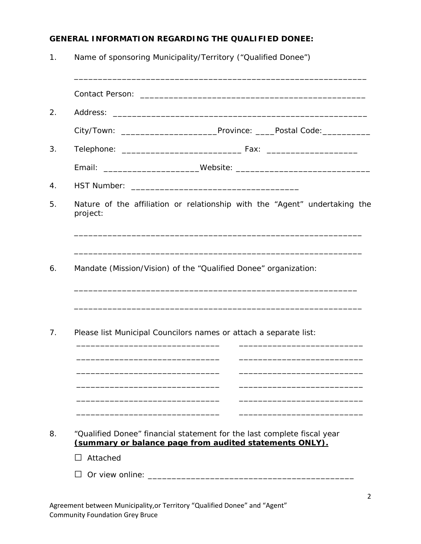### **GENERAL INFORMATION REGARDING THE QUALIFIED DONEE:**

1. Name of sponsoring Municipality/Territory ("Qualified Donee")

\_\_\_\_\_\_\_\_\_\_\_\_\_\_\_\_\_\_\_\_\_\_\_\_\_\_\_\_\_\_\_\_\_\_\_\_\_\_\_\_\_\_\_\_\_\_\_\_\_\_\_\_\_\_\_\_\_\_\_\_\_ Contact Person: \_\_\_\_\_\_\_\_\_\_\_\_\_\_\_\_\_\_\_\_\_\_\_\_\_\_\_\_\_\_\_\_\_\_\_\_\_\_\_\_\_\_\_\_\_\_\_ 2. Address: \_\_\_\_\_\_\_\_\_\_\_\_\_\_\_\_\_\_\_\_\_\_\_\_\_\_\_\_\_\_\_\_\_\_\_\_\_\_\_\_\_\_\_\_\_\_\_\_\_\_\_\_\_ City/Town: \_\_\_\_\_\_\_\_\_\_\_\_\_\_\_\_\_\_\_\_Province: \_\_\_\_Postal Code:\_\_\_\_\_\_\_\_\_\_ 3. Telephone: \_\_\_\_\_\_\_\_\_\_\_\_\_\_\_\_\_\_\_\_\_\_\_\_\_ Fax: \_\_\_\_\_\_\_\_\_\_\_\_\_\_\_\_\_\_\_ Email: \_\_\_\_\_\_\_\_\_\_\_\_\_\_\_\_\_\_\_\_Website: \_\_\_\_\_\_\_\_\_\_\_\_\_\_\_\_\_\_\_\_\_\_\_\_\_\_\_\_ 4. HST Number: \_\_\_\_\_\_\_\_\_\_\_\_\_\_\_\_\_\_\_\_\_\_\_\_\_\_\_\_\_\_\_\_\_\_\_ 5. Nature of the affiliation or relationship with the "Agent" undertaking the project: \_\_\_\_\_\_\_\_\_\_\_\_\_\_\_\_\_\_\_\_\_\_\_\_\_\_\_\_\_\_\_\_\_\_\_\_\_\_\_\_\_\_\_\_\_\_\_\_\_\_\_\_\_\_\_\_\_\_\_\_ \_\_\_\_\_\_\_\_\_\_\_\_\_\_\_\_\_\_\_\_\_\_\_\_\_\_\_\_\_\_\_\_\_\_\_\_\_\_\_\_\_\_\_\_\_\_\_\_\_\_\_\_\_\_\_\_\_\_\_\_ 6. Mandate (Mission/Vision) of the "Qualified Donee" organization: \_\_\_\_\_\_\_\_\_\_\_\_\_\_\_\_\_\_\_\_\_\_\_\_\_\_\_\_\_\_\_\_\_\_\_\_\_\_\_\_\_\_\_\_\_\_\_\_\_\_\_\_\_\_\_\_\_\_\_ \_\_\_\_\_\_\_\_\_\_\_\_\_\_\_\_\_\_\_\_\_\_\_\_\_\_\_\_\_\_\_\_\_\_\_\_\_\_\_\_\_\_\_\_\_\_\_\_\_\_\_\_\_\_\_\_\_\_\_\_ 7. Please list Municipal Councilors names or attach a separate list: \_\_\_\_\_\_\_\_\_\_\_\_\_\_\_\_\_\_\_\_\_\_\_\_\_\_\_\_\_\_ \_\_\_\_\_\_\_\_\_\_\_\_\_\_\_\_\_\_\_\_\_\_\_\_\_\_ \_\_\_\_\_\_\_\_\_\_\_\_\_\_\_\_\_\_\_\_\_\_\_\_\_\_\_\_\_\_ \_\_\_\_\_\_\_\_\_\_\_\_\_\_\_\_\_\_\_\_\_\_\_\_\_\_ \_\_\_\_\_\_\_\_\_\_\_\_\_\_\_\_\_\_\_\_\_\_\_\_\_\_\_\_\_\_ \_\_\_\_\_\_\_\_\_\_\_\_\_\_\_\_\_\_\_\_\_\_\_\_\_\_ \_\_\_\_\_\_\_\_\_\_\_\_\_\_\_\_\_\_\_\_\_\_\_\_\_\_\_\_\_\_ \_\_\_\_\_\_\_\_\_\_\_\_\_\_\_\_\_\_\_\_\_\_\_\_\_\_ \_\_\_\_\_\_\_\_\_\_\_\_\_\_\_\_\_\_\_\_\_\_\_\_\_\_\_\_\_\_ \_\_\_\_\_\_\_\_\_\_\_\_\_\_\_\_\_\_\_\_\_\_\_\_\_\_ \_\_\_\_\_\_\_\_\_\_\_\_\_\_\_\_\_\_\_\_\_\_\_\_\_\_\_\_\_\_ \_\_\_\_\_\_\_\_\_\_\_\_\_\_\_\_\_\_\_\_\_\_\_\_\_\_ 8. "Qualified Donee" financial statement for the last complete fiscal year **(summary or balance page from audited statements ONLY).** □ Attached □ Or view online: \_\_\_\_\_\_\_\_\_\_\_\_\_\_\_\_\_\_\_\_\_\_\_\_\_\_\_\_\_\_\_\_\_\_\_\_\_\_\_\_\_\_\_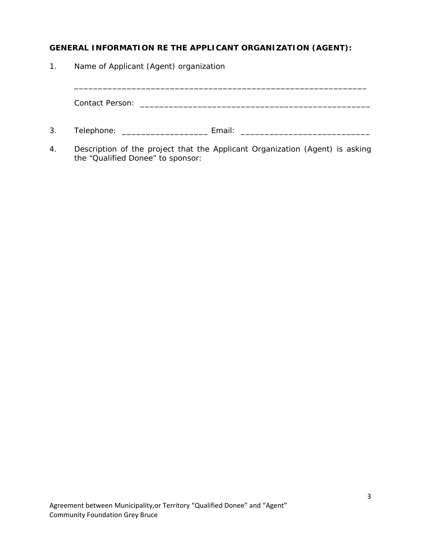## **GENERAL INFORMATION RE THE APPLICANT ORGANIZATION (AGENT):**

| $\mathbf{1}$ . | Name of Applicant (Agent) organization |                                                                                                                        |  |  |
|----------------|----------------------------------------|------------------------------------------------------------------------------------------------------------------------|--|--|
|                | <b>Contact Person:</b>                 | <u> 1980 - Johann John Stein, market fransk kongresser og det blev forskellige og det blev forskellige og det blev</u> |  |  |
| 3.             | Telephone:                             | Email:                                                                                                                 |  |  |

4. Description of the project that the Applicant Organization (Agent) is asking the "Qualified Donee" to sponsor: